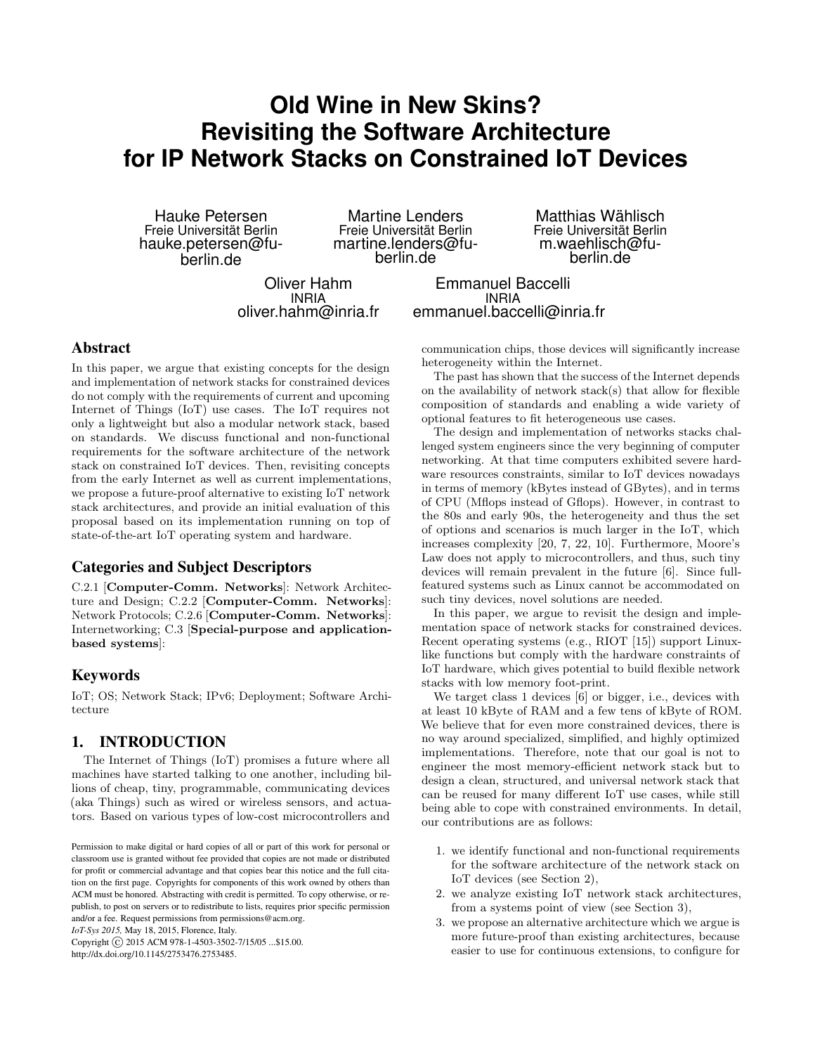# **Old Wine in New Skins? Revisiting the Software Architecture for IP Network Stacks on Constrained IoT Devices**

Hauke Petersen Freie Universität Berlin hauke.petersen@fuberlin.de

Martine Lenders Freie Universität Berlin martine.lenders@fuberlin.de

Oliver Hahm INRIA oliver.hahm@inria.fr

Matthias Wählisch Freie Universität Berlin m.waehlisch@fuberlin.de

Emmanuel Baccelli INRIA emmanuel.baccelli@inria.fr

# Abstract

In this paper, we argue that existing concepts for the design and implementation of network stacks for constrained devices do not comply with the requirements of current and upcoming Internet of Things (IoT) use cases. The IoT requires not only a lightweight but also a modular network stack, based on standards. We discuss functional and non-functional requirements for the software architecture of the network stack on constrained IoT devices. Then, revisiting concepts from the early Internet as well as current implementations, we propose a future-proof alternative to existing IoT network stack architectures, and provide an initial evaluation of this proposal based on its implementation running on top of state-of-the-art IoT operating system and hardware.

## Categories and Subject Descriptors

C.2.1 [Computer-Comm. Networks]: Network Architecture and Design; C.2.2 [Computer-Comm. Networks]: Network Protocols; C.2.6 [Computer-Comm. Networks]: Internetworking; C.3 [Special-purpose and applicationbased systems]:

# Keywords

IoT; OS; Network Stack; IPv6; Deployment; Software Architecture

# 1. INTRODUCTION

The Internet of Things (IoT) promises a future where all machines have started talking to one another, including billions of cheap, tiny, programmable, communicating devices (aka Things) such as wired or wireless sensors, and actuators. Based on various types of low-cost microcontrollers and

*IoT-Sys 2015,* May 18, 2015, Florence, Italy.

Copyright (C) 2015 ACM 978-1-4503-3502-7/15/05 ... \$15.00. http://dx.doi.org/10.1145/2753476.2753485.

communication chips, those devices will significantly increase heterogeneity within the Internet.

The past has shown that the success of the Internet depends on the availability of network stack(s) that allow for flexible composition of standards and enabling a wide variety of optional features to fit heterogeneous use cases.

The design and implementation of networks stacks challenged system engineers since the very beginning of computer networking. At that time computers exhibited severe hardware resources constraints, similar to IoT devices nowadays in terms of memory (kBytes instead of GBytes), and in terms of CPU (Mflops instead of Gflops). However, in contrast to the 80s and early 90s, the heterogeneity and thus the set of options and scenarios is much larger in the IoT, which increases complexity [20, 7, 22, 10]. Furthermore, Moore's Law does not apply to microcontrollers, and thus, such tiny devices will remain prevalent in the future [6]. Since fullfeatured systems such as Linux cannot be accommodated on such tiny devices, novel solutions are needed.

In this paper, we argue to revisit the design and implementation space of network stacks for constrained devices. Recent operating systems (e.g., RIOT [15]) support Linuxlike functions but comply with the hardware constraints of IoT hardware, which gives potential to build flexible network stacks with low memory foot-print.

We target class 1 devices [6] or bigger, i.e., devices with at least 10 kByte of RAM and a few tens of kByte of ROM. We believe that for even more constrained devices, there is no way around specialized, simplified, and highly optimized implementations. Therefore, note that our goal is not to engineer the most memory-efficient network stack but to design a clean, structured, and universal network stack that can be reused for many different IoT use cases, while still being able to cope with constrained environments. In detail, our contributions are as follows:

- 1. we identify functional and non-functional requirements for the software architecture of the network stack on IoT devices (see Section 2),
- 2. we analyze existing IoT network stack architectures, from a systems point of view (see Section 3),
- 3. we propose an alternative architecture which we argue is more future-proof than existing architectures, because easier to use for continuous extensions, to configure for

Permission to make digital or hard copies of all or part of this work for personal or classroom use is granted without fee provided that copies are not made or distributed for profit or commercial advantage and that copies bear this notice and the full citation on the first page. Copyrights for components of this work owned by others than ACM must be honored. Abstracting with credit is permitted. To copy otherwise, or republish, to post on servers or to redistribute to lists, requires prior specific permission and/or a fee. Request permissions from permissions@acm.org.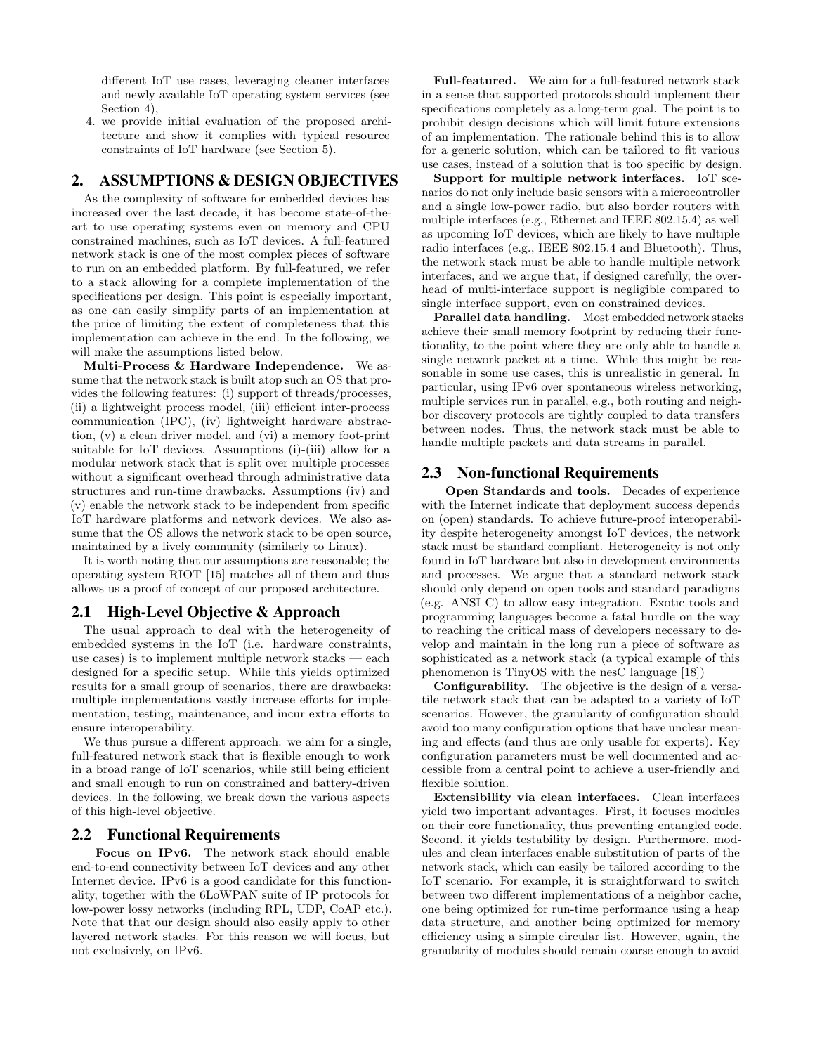different IoT use cases, leveraging cleaner interfaces and newly available IoT operating system services (see Section 4).

4. we provide initial evaluation of the proposed architecture and show it complies with typical resource constraints of IoT hardware (see Section 5).

#### 2. ASSUMPTIONS & DESIGN OBJECTIVES

As the complexity of software for embedded devices has increased over the last decade, it has become state-of-theart to use operating systems even on memory and CPU constrained machines, such as IoT devices. A full-featured network stack is one of the most complex pieces of software to run on an embedded platform. By full-featured, we refer to a stack allowing for a complete implementation of the specifications per design. This point is especially important, as one can easily simplify parts of an implementation at the price of limiting the extent of completeness that this implementation can achieve in the end. In the following, we will make the assumptions listed below.

Multi-Process & Hardware Independence. We assume that the network stack is built atop such an OS that provides the following features: (i) support of threads/processes, (ii) a lightweight process model, (iii) efficient inter-process communication (IPC), (iv) lightweight hardware abstraction, (v) a clean driver model, and (vi) a memory foot-print suitable for IoT devices. Assumptions (i)-(iii) allow for a modular network stack that is split over multiple processes without a significant overhead through administrative data structures and run-time drawbacks. Assumptions (iv) and (v) enable the network stack to be independent from specific IoT hardware platforms and network devices. We also assume that the OS allows the network stack to be open source, maintained by a lively community (similarly to Linux).

It is worth noting that our assumptions are reasonable; the operating system RIOT [15] matches all of them and thus allows us a proof of concept of our proposed architecture.

# 2.1 High-Level Objective & Approach

The usual approach to deal with the heterogeneity of embedded systems in the IoT (i.e. hardware constraints, use cases) is to implement multiple network stacks — each designed for a specific setup. While this yields optimized results for a small group of scenarios, there are drawbacks: multiple implementations vastly increase efforts for implementation, testing, maintenance, and incur extra efforts to ensure interoperability.

We thus pursue a different approach: we aim for a single, full-featured network stack that is flexible enough to work in a broad range of IoT scenarios, while still being efficient and small enough to run on constrained and battery-driven devices. In the following, we break down the various aspects of this high-level objective.

#### 2.2 Functional Requirements

Focus on IPv6. The network stack should enable end-to-end connectivity between IoT devices and any other Internet device. IPv6 is a good candidate for this functionality, together with the 6LoWPAN suite of IP protocols for low-power lossy networks (including RPL, UDP, CoAP etc.). Note that that our design should also easily apply to other layered network stacks. For this reason we will focus, but not exclusively, on IPv6.

Full-featured. We aim for a full-featured network stack in a sense that supported protocols should implement their specifications completely as a long-term goal. The point is to prohibit design decisions which will limit future extensions of an implementation. The rationale behind this is to allow for a generic solution, which can be tailored to fit various use cases, instead of a solution that is too specific by design.

Support for multiple network interfaces. IoT scenarios do not only include basic sensors with a microcontroller and a single low-power radio, but also border routers with multiple interfaces (e.g., Ethernet and IEEE 802.15.4) as well as upcoming IoT devices, which are likely to have multiple radio interfaces (e.g., IEEE 802.15.4 and Bluetooth). Thus, the network stack must be able to handle multiple network interfaces, and we argue that, if designed carefully, the overhead of multi-interface support is negligible compared to single interface support, even on constrained devices.

Parallel data handling. Most embedded network stacks achieve their small memory footprint by reducing their functionality, to the point where they are only able to handle a single network packet at a time. While this might be reasonable in some use cases, this is unrealistic in general. In particular, using IPv6 over spontaneous wireless networking, multiple services run in parallel, e.g., both routing and neighbor discovery protocols are tightly coupled to data transfers between nodes. Thus, the network stack must be able to handle multiple packets and data streams in parallel.

#### 2.3 Non-functional Requirements

Open Standards and tools. Decades of experience with the Internet indicate that deployment success depends on (open) standards. To achieve future-proof interoperability despite heterogeneity amongst IoT devices, the network stack must be standard compliant. Heterogeneity is not only found in IoT hardware but also in development environments and processes. We argue that a standard network stack should only depend on open tools and standard paradigms (e.g. ANSI C) to allow easy integration. Exotic tools and programming languages become a fatal hurdle on the way to reaching the critical mass of developers necessary to develop and maintain in the long run a piece of software as sophisticated as a network stack (a typical example of this phenomenon is TinyOS with the nesC language [18])

Configurability. The objective is the design of a versatile network stack that can be adapted to a variety of IoT scenarios. However, the granularity of configuration should avoid too many configuration options that have unclear meaning and effects (and thus are only usable for experts). Key configuration parameters must be well documented and accessible from a central point to achieve a user-friendly and flexible solution.

Extensibility via clean interfaces. Clean interfaces yield two important advantages. First, it focuses modules on their core functionality, thus preventing entangled code. Second, it yields testability by design. Furthermore, modules and clean interfaces enable substitution of parts of the network stack, which can easily be tailored according to the IoT scenario. For example, it is straightforward to switch between two different implementations of a neighbor cache, one being optimized for run-time performance using a heap data structure, and another being optimized for memory efficiency using a simple circular list. However, again, the granularity of modules should remain coarse enough to avoid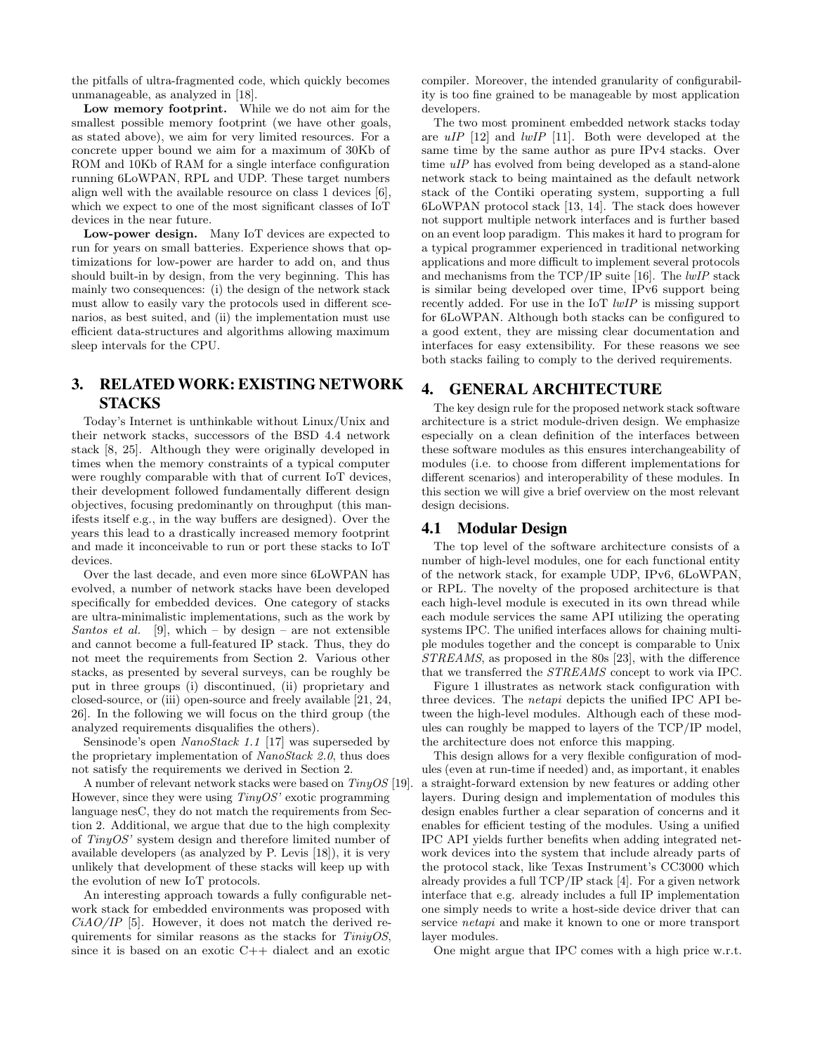the pitfalls of ultra-fragmented code, which quickly becomes unmanageable, as analyzed in [18].

Low memory footprint. While we do not aim for the smallest possible memory footprint (we have other goals, as stated above), we aim for very limited resources. For a concrete upper bound we aim for a maximum of 30Kb of ROM and 10Kb of RAM for a single interface configuration running 6LoWPAN, RPL and UDP. These target numbers align well with the available resource on class 1 devices [6], which we expect to one of the most significant classes of IoT devices in the near future.

Low-power design. Many IoT devices are expected to run for years on small batteries. Experience shows that optimizations for low-power are harder to add on, and thus should built-in by design, from the very beginning. This has mainly two consequences: (i) the design of the network stack must allow to easily vary the protocols used in different scenarios, as best suited, and (ii) the implementation must use efficient data-structures and algorithms allowing maximum sleep intervals for the CPU.

# 3. RELATED WORK: EXISTING NETWORK **STACKS**

Today's Internet is unthinkable without Linux/Unix and their network stacks, successors of the BSD 4.4 network stack [8, 25]. Although they were originally developed in times when the memory constraints of a typical computer were roughly comparable with that of current IoT devices, their development followed fundamentally different design objectives, focusing predominantly on throughput (this manifests itself e.g., in the way buffers are designed). Over the years this lead to a drastically increased memory footprint and made it inconceivable to run or port these stacks to IoT devices.

Over the last decade, and even more since 6LoWPAN has evolved, a number of network stacks have been developed specifically for embedded devices. One category of stacks are ultra-minimalistic implementations, such as the work by Santos et al. [9], which – by design – are not extensible and cannot become a full-featured IP stack. Thus, they do not meet the requirements from Section 2. Various other stacks, as presented by several surveys, can be roughly be put in three groups (i) discontinued, (ii) proprietary and closed-source, or (iii) open-source and freely available [21, 24, 26]. In the following we will focus on the third group (the analyzed requirements disqualifies the others).

Sensinode's open NanoStack 1.1 [17] was superseded by the proprietary implementation of NanoStack 2.0, thus does not satisfy the requirements we derived in Section 2.

A number of relevant network stacks were based on TinyOS [19]. However, since they were using  $TinyOS'$  exotic programming language nesC, they do not match the requirements from Section 2. Additional, we argue that due to the high complexity of TinyOS' system design and therefore limited number of available developers (as analyzed by P. Levis [18]), it is very unlikely that development of these stacks will keep up with the evolution of new IoT protocols.

An interesting approach towards a fully configurable network stack for embedded environments was proposed with  $CiAO/IP$  [5]. However, it does not match the derived requirements for similar reasons as the stacks for  $TiniyOS$ , since it is based on an exotic C++ dialect and an exotic

compiler. Moreover, the intended granularity of configurability is too fine grained to be manageable by most application developers.

The two most prominent embedded network stacks today are uIP [12] and lwIP [11]. Both were developed at the same time by the same author as pure IPv4 stacks. Over time uIP has evolved from being developed as a stand-alone network stack to being maintained as the default network stack of the Contiki operating system, supporting a full 6LoWPAN protocol stack [13, 14]. The stack does however not support multiple network interfaces and is further based on an event loop paradigm. This makes it hard to program for a typical programmer experienced in traditional networking applications and more difficult to implement several protocols and mechanisms from the TCP/IP suite [16]. The lwIP stack is similar being developed over time, IPv6 support being recently added. For use in the IoT lwIP is missing support for 6LoWPAN. Although both stacks can be configured to a good extent, they are missing clear documentation and interfaces for easy extensibility. For these reasons we see both stacks failing to comply to the derived requirements.

## 4. GENERAL ARCHITECTURE

The key design rule for the proposed network stack software architecture is a strict module-driven design. We emphasize especially on a clean definition of the interfaces between these software modules as this ensures interchangeability of modules (i.e. to choose from different implementations for different scenarios) and interoperability of these modules. In this section we will give a brief overview on the most relevant design decisions.

#### 4.1 Modular Design

The top level of the software architecture consists of a number of high-level modules, one for each functional entity of the network stack, for example UDP, IPv6, 6LoWPAN, or RPL. The novelty of the proposed architecture is that each high-level module is executed in its own thread while each module services the same API utilizing the operating systems IPC. The unified interfaces allows for chaining multiple modules together and the concept is comparable to Unix STREAMS, as proposed in the 80s [23], with the difference that we transferred the STREAMS concept to work via IPC.

Figure 1 illustrates as network stack configuration with three devices. The netapi depicts the unified IPC API between the high-level modules. Although each of these modules can roughly be mapped to layers of the TCP/IP model, the architecture does not enforce this mapping.

This design allows for a very flexible configuration of modules (even at run-time if needed) and, as important, it enables a straight-forward extension by new features or adding other layers. During design and implementation of modules this design enables further a clear separation of concerns and it enables for efficient testing of the modules. Using a unified IPC API yields further benefits when adding integrated network devices into the system that include already parts of the protocol stack, like Texas Instrument's CC3000 which already provides a full TCP/IP stack [4]. For a given network interface that e.g. already includes a full IP implementation one simply needs to write a host-side device driver that can service netapi and make it known to one or more transport layer modules.

One might argue that IPC comes with a high price w.r.t.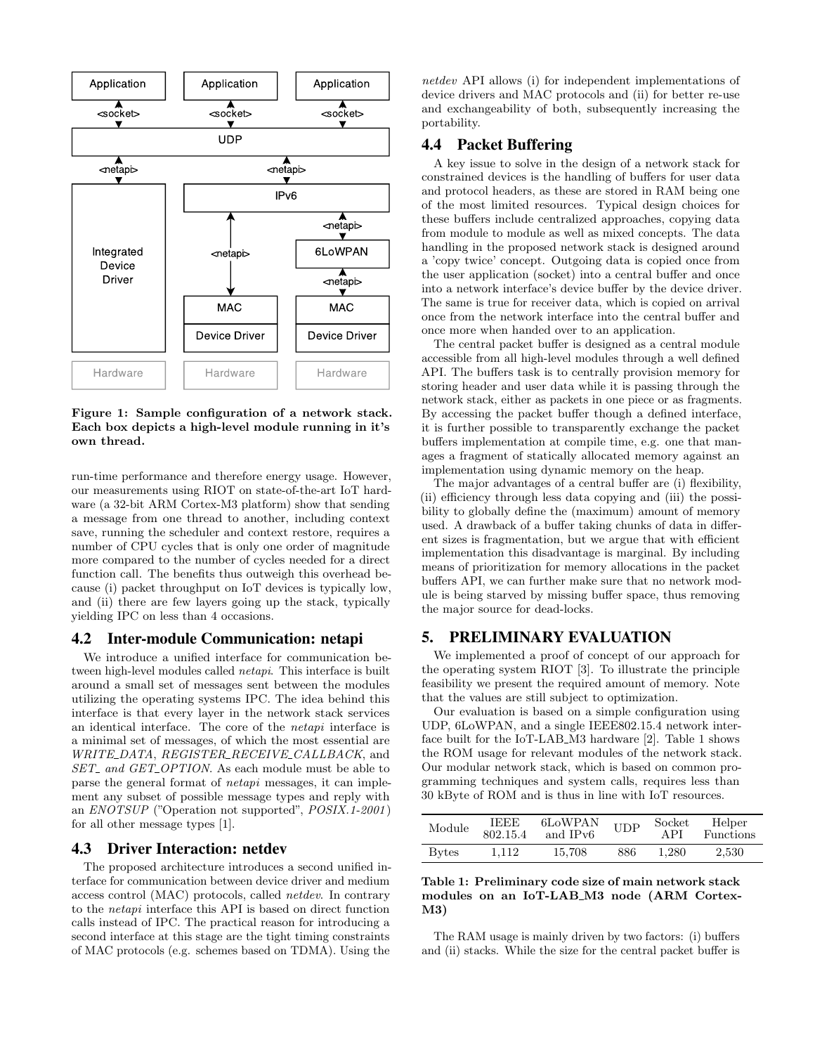

Figure 1: Sample configuration of a network stack. Each box depicts a high-level module running in it's own thread.

run-time performance and therefore energy usage. However, our measurements using RIOT on state-of-the-art IoT hardware (a 32-bit ARM Cortex-M3 platform) show that sending a message from one thread to another, including context save, running the scheduler and context restore, requires a number of CPU cycles that is only one order of magnitude more compared to the number of cycles needed for a direct function call. The benefits thus outweigh this overhead because (i) packet throughput on IoT devices is typically low, and (ii) there are few layers going up the stack, typically yielding IPC on less than 4 occasions.

#### 4.2 Inter-module Communication: netapi

We introduce a unified interface for communication between high-level modules called netapi. This interface is built around a small set of messages sent between the modules utilizing the operating systems IPC. The idea behind this interface is that every layer in the network stack services an identical interface. The core of the netapi interface is a minimal set of messages, of which the most essential are WRITE\_DATA, REGISTER\_RECEIVE\_CALLBACK, and SET<sub>-</sub> and GET<sub>-</sub>OPTION. As each module must be able to parse the general format of netapi messages, it can implement any subset of possible message types and reply with an ENOTSUP ("Operation not supported", POSIX.1-2001 ) for all other message types [1].

## 4.3 Driver Interaction: netdev

The proposed architecture introduces a second unified interface for communication between device driver and medium access control (MAC) protocols, called netdev. In contrary to the netapi interface this API is based on direct function calls instead of IPC. The practical reason for introducing a second interface at this stage are the tight timing constraints of MAC protocols (e.g. schemes based on TDMA). Using the netdev API allows (i) for independent implementations of device drivers and MAC protocols and (ii) for better re-use and exchangeability of both, subsequently increasing the portability.

#### 4.4 Packet Buffering

A key issue to solve in the design of a network stack for constrained devices is the handling of buffers for user data and protocol headers, as these are stored in RAM being one of the most limited resources. Typical design choices for these buffers include centralized approaches, copying data from module to module as well as mixed concepts. The data handling in the proposed network stack is designed around a 'copy twice' concept. Outgoing data is copied once from the user application (socket) into a central buffer and once into a network interface's device buffer by the device driver. The same is true for receiver data, which is copied on arrival once from the network interface into the central buffer and once more when handed over to an application.

The central packet buffer is designed as a central module accessible from all high-level modules through a well defined API. The buffers task is to centrally provision memory for storing header and user data while it is passing through the network stack, either as packets in one piece or as fragments. By accessing the packet buffer though a defined interface, it is further possible to transparently exchange the packet buffers implementation at compile time, e.g. one that manages a fragment of statically allocated memory against an implementation using dynamic memory on the heap.

The major advantages of a central buffer are (i) flexibility, (ii) efficiency through less data copying and (iii) the possibility to globally define the (maximum) amount of memory used. A drawback of a buffer taking chunks of data in different sizes is fragmentation, but we argue that with efficient implementation this disadvantage is marginal. By including means of prioritization for memory allocations in the packet buffers API, we can further make sure that no network module is being starved by missing buffer space, thus removing the major source for dead-locks.

# 5. PRELIMINARY EVALUATION

We implemented a proof of concept of our approach for the operating system RIOT [3]. To illustrate the principle feasibility we present the required amount of memory. Note that the values are still subject to optimization.

Our evaluation is based on a simple configuration using UDP, 6LoWPAN, and a single IEEE802.15.4 network interface built for the IoT-LAB\_M3 hardware [2]. Table 1 shows the ROM usage for relevant modules of the network stack. Our modular network stack, which is based on common programming techniques and system calls, requires less than 30 kByte of ROM and is thus in line with IoT resources.

| Module       | IEEE<br>802.15.4 | 6LoWPAN<br>and IPv6 | <b>UDP</b> | Socket<br>API | Helper<br>Functions |
|--------------|------------------|---------------------|------------|---------------|---------------------|
| <b>Bytes</b> | 1.112            | 15,708              | 886        | 1.280         | 2,530               |

#### Table 1: Preliminary code size of main network stack modules on an IoT-LAB M3 node (ARM Cortex-M3)

The RAM usage is mainly driven by two factors: (i) buffers and (ii) stacks. While the size for the central packet buffer is